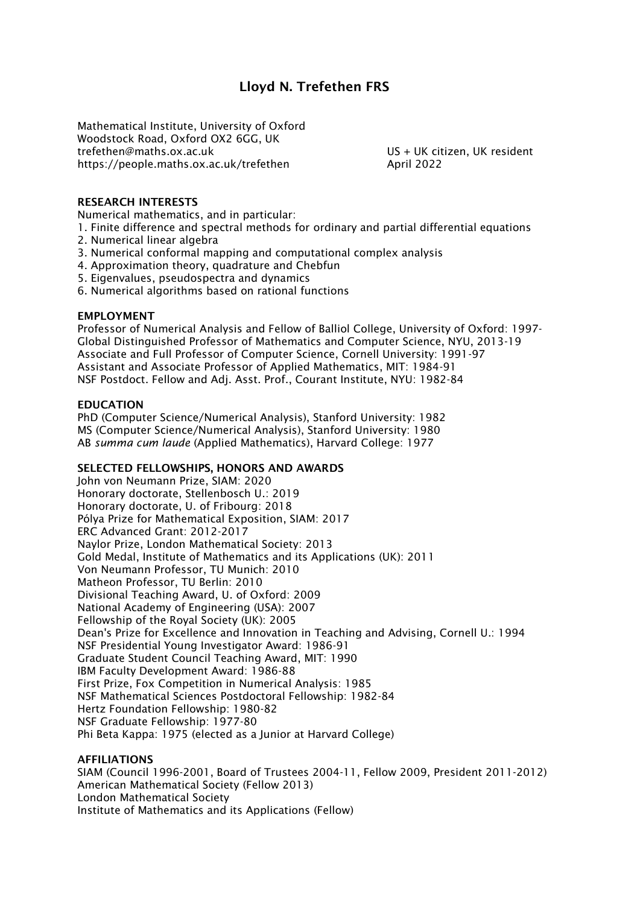# **Lloyd N. Trefethen FRS**

Mathematical Institute, University of Oxford Woodstock Road, Oxford OX2 6GG, UK trefethen@maths.ox.ac.uk US + UK citizen, UK resident https://people.maths.ox.ac.uk/trefethen April 2022

## **RESEARCH INTERESTS**

Numerical mathematics, and in particular:

- 1. Finite difference and spectral methods for ordinary and partial differential equations
- 2. Numerical linear algebra
- 3. Numerical conformal mapping and computational complex analysis
- 4. Approximation theory, quadrature and Chebfun
- 5. Eigenvalues, pseudospectra and dynamics
- 6. Numerical algorithms based on rational functions

## **EMPLOYMENT**

Professor of Numerical Analysis and Fellow of Balliol College, University of Oxford: 1997- Global Distinguished Professor of Mathematics and Computer Science, NYU, 2013-19 Associate and Full Professor of Computer Science, Cornell University: 1991-97 Assistant and Associate Professor of Applied Mathematics, MIT: 1984-91 NSF Postdoct. Fellow and Adj. Asst. Prof., Courant Institute, NYU: 1982-84

## **EDUCATION**

PhD (Computer Science/Numerical Analysis), Stanford University: 1982 MS (Computer Science/Numerical Analysis), Stanford University: 1980 AB *summa cum laude* (Applied Mathematics), Harvard College: 1977

## **SELECTED FELLOWSHIPS, HONORS AND AWARDS**

John von Neumann Prize, SIAM: 2020 Honorary doctorate, Stellenbosch U.: 2019 Honorary doctorate, U. of Fribourg: 2018 Pólya Prize for Mathematical Exposition, SIAM: 2017 ERC Advanced Grant: 2012-2017 Naylor Prize, London Mathematical Society: 2013 Gold Medal, Institute of Mathematics and its Applications (UK): 2011 Von Neumann Professor, TU Munich: 2010 Matheon Professor, TU Berlin: 2010 Divisional Teaching Award, U. of Oxford: 2009 National Academy of Engineering (USA): 2007 Fellowship of the Royal Society (UK): 2005 Dean's Prize for Excellence and Innovation in Teaching and Advising, Cornell U.: 1994 NSF Presidential Young Investigator Award: 1986-91 Graduate Student Council Teaching Award, MIT: 1990 IBM Faculty Development Award: 1986-88 First Prize, Fox Competition in Numerical Analysis: 1985 NSF Mathematical Sciences Postdoctoral Fellowship: 1982-84 Hertz Foundation Fellowship: 1980-82 NSF Graduate Fellowship: 1977-80 Phi Beta Kappa: 1975 (elected as a Junior at Harvard College)

## **AFFILIATIONS**

SIAM (Council 1996-2001, Board of Trustees 2004-11, Fellow 2009, President 2011-2012) American Mathematical Society (Fellow 2013) London Mathematical Society Institute of Mathematics and its Applications (Fellow)